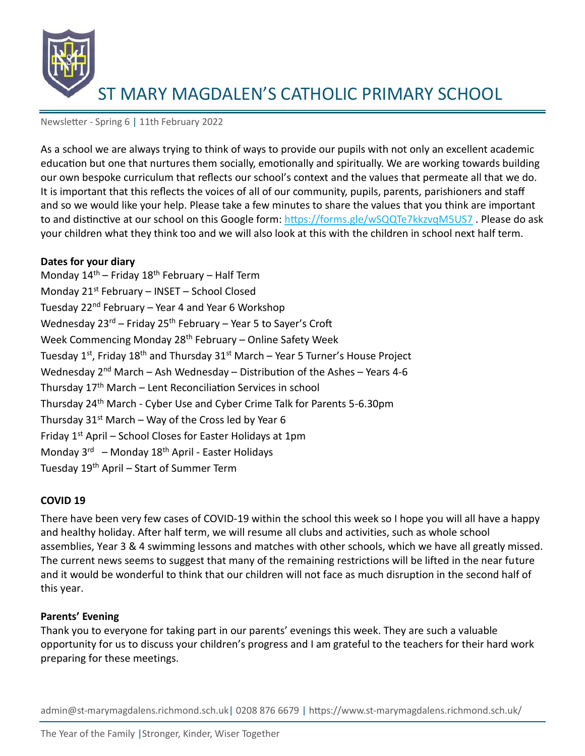

Newsletter - Spring 6 | 11th February 2022

As a school we are always trying to think of ways to provide our pupils with not only an excellent academic education but one that nurtures them socially, emotionally and spiritually. We are working towards building our own bespoke curriculum that reflects our school's context and the values that permeate all that we do. It is important that this reflects the voices of all of our community, pupils, parents, parishioners and staff and so we would like your help. Please take a few minutes to share the values that you think are important to and distinctive at our school on this Google form[: https://forms.gle/wSQQTe7kkzvqM5US7](https://forms.gle/wSQQTe7kkzvqM5US7). Please do ask your children what they think too and we will also look at this with the children in school next half term.

#### **Dates for your diary**

Monday  $14<sup>th</sup>$  – Friday  $18<sup>th</sup>$  February – Half Term Monday 21st February – INSET – School Closed Tuesday 22nd February – Year 4 and Year 6 Workshop Wednesday  $23^{rd}$  – Friday  $25^{th}$  February – Year 5 to Sayer's Croft Week Commencing Monday 28<sup>th</sup> February – Online Safety Week Tuesday 1<sup>st</sup>, Friday 18<sup>th</sup> and Thursday 31<sup>st</sup> March – Year 5 Turner's House Project Wednesday  $2^{nd}$  March – Ash Wednesday – Distribution of the Ashes – Years 4-6 Thursday  $17<sup>th</sup>$  March – Lent Reconciliation Services in school Thursday 24th March - Cyber Use and Cyber Crime Talk for Parents 5-6.30pm Thursday  $31^{st}$  March – Way of the Cross led by Year 6 Friday  $1<sup>st</sup>$  April – School Closes for Easter Holidays at 1pm Monday 3<sup>rd</sup> – Monday 18<sup>th</sup> April - Easter Holidays Tuesday 19th April – Start of Summer Term

## **COVID 19**

There have been very few cases of COVID-19 within the school this week so I hope you will all have a happy and healthy holiday. After half term, we will resume all clubs and activities, such as whole school assemblies, Year 3 & 4 swimming lessons and matches with other schools, which we have all greatly missed. The current news seems to suggest that many of the remaining restrictions will be lifted in the near future and it would be wonderful to think that our children will not face as much disruption in the second half of this year.

## **Parents' Evening**

Thank you to everyone for taking part in our parents' evenings this week. They are such a valuable opportunity for us to discuss your children's progress and I am grateful to the teachers for their hard work preparing for these meetings.

admin@st-marymagdalens.richmond.sch.uk| 0208 876 6679 | https://www.st-marymagdalens.richmond.sch.uk/